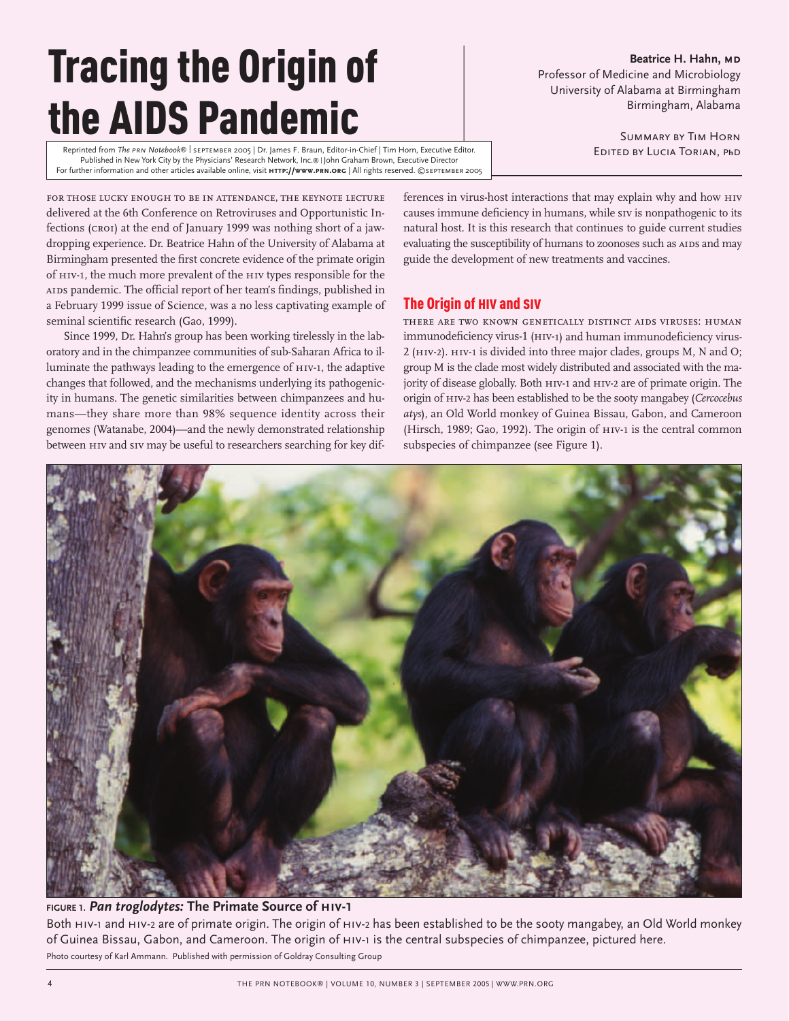# Tracing the Origin of the AIDS Pandemic

Reprinted from *The prn Notebook*® | september 2005 | Dr. James F. Braun, Editor-in-Chief | Tim Horn, Executive Editor. Published in New York City by the Physicians' Research Network, Inc.® | John Graham Brown, Executive Director For further information and other articles available online, visit **http://www.prn.org** | All rights reserved. ©september 2005

**Beatrice H. Hahn, MD** Professor of Medicine and Microbiology University of Alabama at Birmingham Birmingham, Alabama

> Summary by Tim Horn Edited by Lucia Torian, p**h**d

for those lucky enough to be in attendance, the keynote lecture delivered at the 6th Conference on Retroviruses and Opportunistic Infections (croi) at the end of January 1999 was nothing short of a jawdropping experience. Dr. Beatrice Hahn of the University of Alabama at Birmingham presented the first concrete evidence of the primate origin of hiv-1, the much more prevalent of the hiv types responsible for the AIDS pandemic. The official report of her team's findings, published in a February 1999 issue of Science, was a no less captivating example of seminal scientific research (Gao, 1999).

Since 1999, Dr. Hahn's group has been working tirelessly in the laboratory and in the chimpanzee communities of sub-Saharan Africa to illuminate the pathways leading to the emergence of HIV-1, the adaptive changes that followed, and the mechanisms underlying its pathogenicity in humans. The genetic similarities between chimpanzees and humans—they share more than 98% sequence identity across their genomes (Watanabe, 2004)—and the newly demonstrated relationship between hiv and siv may be useful to researchers searching for key differences in virus-host interactions that may explain why and how hiv causes immune deficiency in humans, while siv is nonpathogenic to its natural host. It is this research that continues to guide current studies evaluating the susceptibility of humans to zoonoses such as AIDS and may guide the development of new treatments and vaccines.

# The Origin of HIV and SIV

there are two known genetically distinct aids viruses: human immunodeficiency virus-1 (HIV-1) and human immunodeficiency virus-2 (hiv-2). hiv-1 is divided into three major clades, groups M, N and O; group M is the clade most widely distributed and associated with the majority of disease globally. Both hiv-1 and hiv-2 are of primate origin. The origin of hiv-2 has been established to be the sooty mangabey (*Cercocebus atys*), an Old World monkey of Guinea Bissau, Gabon, and Cameroon (Hirsch, 1989; Gao, 1992). The origin of hiv-1 is the central common subspecies of chimpanzee (see Figure 1).



# **FIGURE 1.** *Pan troglodytes:* **The Primate Source of hiv-1**

Both HIV-1 and HIV-2 are of primate origin. The origin of HIV-2 has been established to be the sooty mangabey, an Old World monkey of Guinea Bissau, Gabon, and Cameroon. The origin of hiv-1 is the central subspecies of chimpanzee, pictured here. Photo courtesy of Karl Ammann. Published with permission of Goldray Consulting Group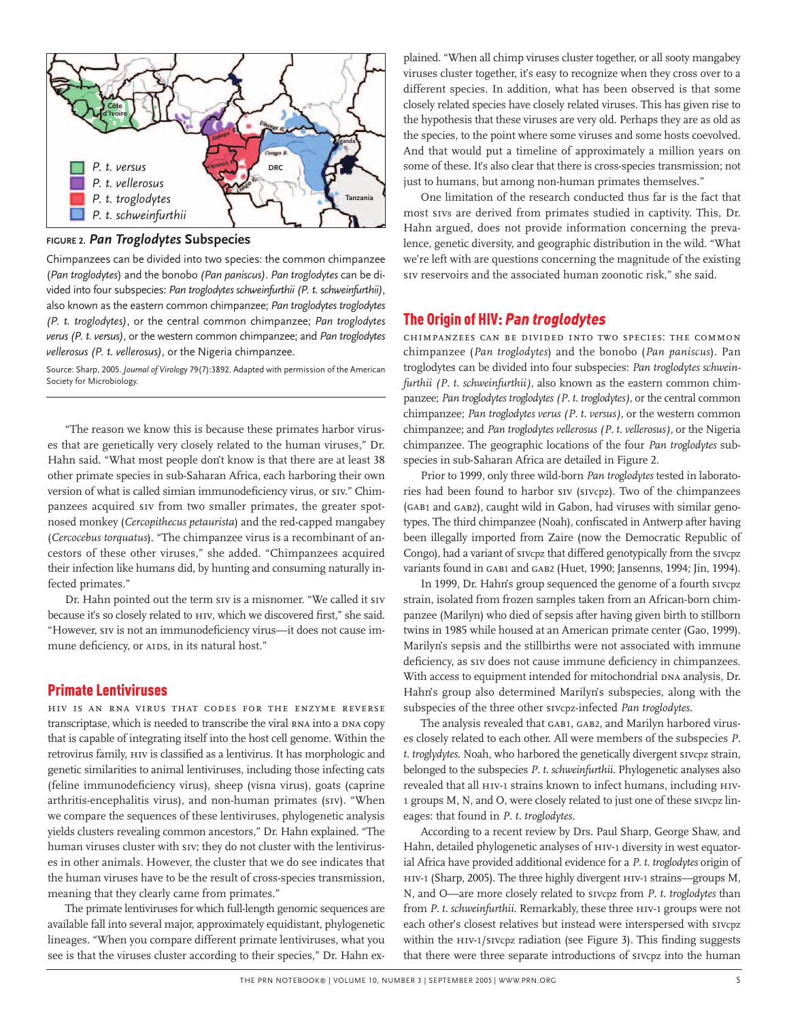

**FIGURE 2.** *Pan Troglodytes* **Subspecies** 

Chimpanzees can be divided into two species: the common chimpanzee (*Pan troglodytes*) and the bonobo *(Pan paniscus)*. *Pan troglodytes* can be divided into four subspecies: *Pan troglodytes schweinfurthii (P. t. schweinfurthii)*, also known as the eastern common chimpanzee; *Pan troglodytes troglodytes (P. t. troglodytes)*, or the central common chimpanzee; *Pan troglodytes verus (P. t. versus)*, or the western common chimpanzee; and *Pan troglodytes vellerosus (P. t. vellerosus)*, or the Nigeria chimpanzee.

Source: Sharp, 2005. *Journal of Virology* 79(7):3892. Adapted with permission of the American Society for Microbiology.

"The reason we know this is because these primates harbor viruses that are genetically very closely related to the human viruses," Dr. Hahn said. "What most people don't know is that there are at least 38 other primate species in sub-Saharan Africa, each harboring their own version of what is called simian immunodeficiency virus, or siv." Chimpanzees acquired siv from two smaller primates, the greater spotnosed monkey (*Cercopithecus petaurista*) and the red-capped mangabey (*Cercocebus torquatus*). "The chimpanzee virus is a recombinant of ancestors of these other viruses," she added. "Chimpanzees acquired their infection like humans did, by hunting and consuming naturally infected primates."

Dr. Hahn pointed out the term siv is a misnomer. "We called it siv because it's so closely related to HIV, which we discovered first," she said. "However, siv is not an immunodeficiency virus—it does not cause immune deficiency, or AIDS, in its natural host."

# Primate Lentiviruses

hiv is an rna virus that codes for the enzyme reverse transcriptase, which is needed to transcribe the viral RNA into a DNA copy that is capable of integrating itself into the host cell genome. Within the retrovirus family, hiv is classified as a lentivirus. It has morphologic and genetic similarities to animal lentiviruses, including those infecting cats (feline immunodeficiency virus), sheep (visna virus), goats (caprine arthritis-encephalitis virus), and non-human primates (siv). "When we compare the sequences of these lentiviruses, phylogenetic analysis yields clusters revealing common ancestors," Dr. Hahn explained. "The human viruses cluster with siv; they do not cluster with the lentiviruses in other animals. However, the cluster that we do see indicates that the human viruses have to be the result of cross-species transmission, meaning that they clearly came from primates."

The primate lentiviruses for which full-length genomic sequences are available fall into several major, approximately equidistant, phylogenetic lineages. "When you compare different primate lentiviruses, what you see is that the viruses cluster according to their species," Dr. Hahn explained. "When all chimp viruses cluster together, or all sooty mangabey viruses cluster together, it's easy to recognize when they cross over to a different species. In addition, what has been observed is that some closely related species have closely related viruses. This has given rise to the hypothesis that these viruses are very old. Perhaps they are as old as the species, to the point where some viruses and some hosts coevolved. And that would put a timeline of approximately a million years on some of these. It's also clear that there is cross-species transmission; not just to humans, but among non-human primates themselves."

One limitation of the research conducted thus far is the fact that most sivs are derived from primates studied in captivity. This, Dr. Hahn argued, does not provide information concerning the prevalence, genetic diversity, and geographic distribution in the wild. "What we're left with are questions concerning the magnitude of the existing siv reservoirs and the associated human zoonotic risk," she said.

**The Origin of HIV:** *Pan troglodytes*<br>chimpanzees can be divided into two species: the common chimpanzee (*Pan troglodytes*) and the bonobo (*Pan paniscus*). Pan troglodytes can be divided into four subspecies: *Pan troglodytes schweinfurthii (P. t. schweinfurthii)*, also known as the eastern common chimpanzee; *Pan troglodytes troglodytes (P. t. troglodytes)*, or the central common chimpanzee; *Pan troglodytes verus (P. t. versus)*, or the western common chimpanzee; and *Pan troglodytes vellerosus (P. t. vellerosus),* or the Nigeria chimpanzee. The geographic locations of the four *Pan troglodytes* subspecies in sub-Saharan Africa are detailed in Figure 2.

Prior to 1999, only three wild-born *Pan troglodytes* tested in laboratories had been found to harbor siv (sivcpz). Two of the chimpanzees (gab<sup>1</sup> and gab2), caught wild in Gabon, had viruses with similar genotypes. The third chimpanzee (Noah), confiscated in Antwerp after having been illegally imported from Zaire (now the Democratic Republic of Congo), had a variant of sivcpz that differed genotypically from the sivcpz variants found in GAB1 and GAB2 (Huet, 1990; Jansenns, 1994; Jin, 1994).

In 1999, Dr. Hahn's group sequenced the genome of a fourth sivcpz strain, isolated from frozen samples taken from an African-born chimpanzee (Marilyn) who died of sepsis after having given birth to stillborn twins in 1985 while housed at an American primate center (Gao, 1999). Marilyn's sepsis and the stillbirths were not associated with immune deficiency, as siv does not cause immune deficiency in chimpanzees. With access to equipment intended for mitochondrial DNA analysis, Dr. Hahn's group also determined Marilyn's subspecies, along with the subspecies of the three other sivcpz-infected *Pan troglodytes*.

The analysis revealed that GAB1, GAB2, and Marilyn harbored viruses closely related to each other. All were members of the subspecies *P. t. troglydytes*. Noah, who harbored the genetically divergent sivcpz strain, belonged to the subspecies *P. t. schweinfurthii*. Phylogenetic analyses also revealed that all HIV-1 strains known to infect humans, including HIV-<sup>1</sup> groups M, N, and O, were closely related to just one of these sivcpz lineages: that found in *P. t. troglodytes*.

According to a recent review by Drs. Paul Sharp, George Shaw, and Hahn, detailed phylogenetic analyses of hiv-1 diversity in west equatorial Africa have provided additional evidence for a *P. t. troglodytes* origin of hiv-1 (Sharp, 2005). The three highly divergent hiv-1 strains—groups M, N, and O—are more closely related to sivcpz from *P. t. troglodytes* than from *P. t. schweinfurthii*. Remarkably, these three ни-1 groups were not each other's closest relatives but instead were interspersed with sivcpz within the HIV-1/SIVcpz radiation (see Figure 3). This finding suggests that there were three separate introductions of sivcpz into the human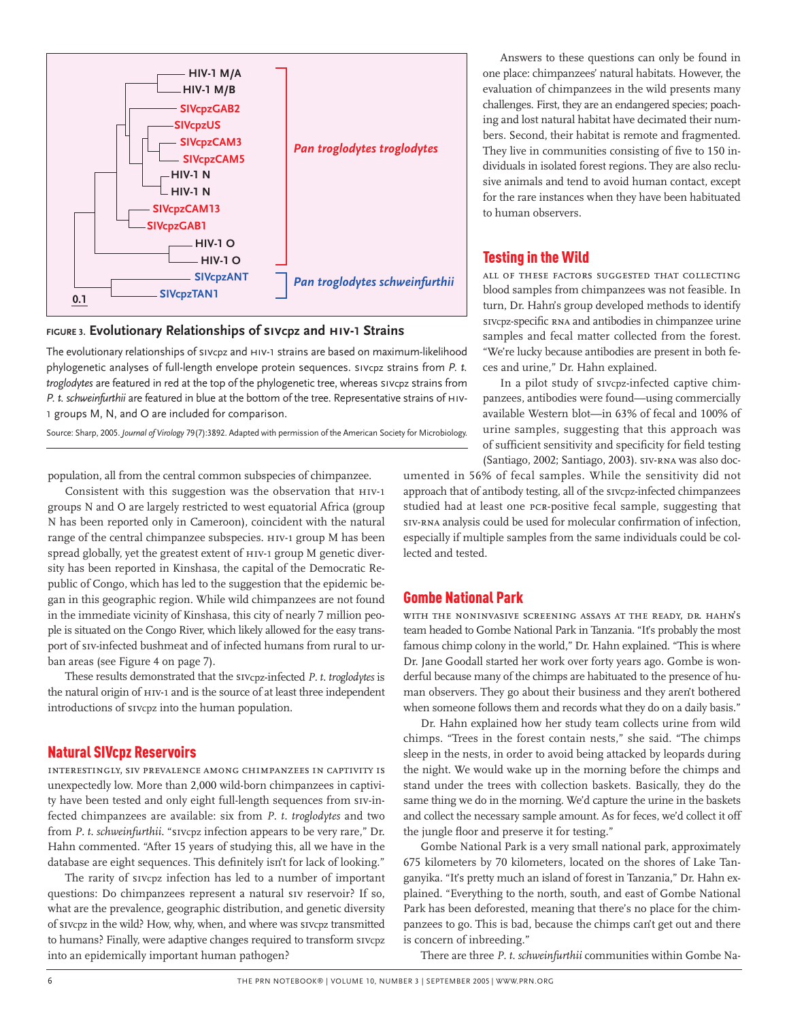

**FIGURE 3. Evolutionary Relationships of sivcpz and hiv-1 Strains** 

The evolutionary relationships of sivcpz and hiv-<sup>1</sup> strains are based on maximum-likelihood phylogenetic analyses of full-length envelope protein sequences. sivcpz strains from *P. t. troglodytes* are featured in red at the top of the phylogenetic tree, whereas sivcpz strains from *P. t. schweinfurthii* are featured in blue at the bottom of the tree. Representative strains of hiv-1 groups M, N, and O are included for comparison.

Source: Sharp, 2005. *Journal of Virology* 79(7):3892. Adapted with permission of the American Society for Microbiology.

population, all from the central common subspecies of chimpanzee.

Consistent with this suggestion was the observation that  $H_1$ IV-1 groups N and O are largely restricted to west equatorial Africa (group N has been reported only in Cameroon), coincident with the natural range of the central chimpanzee subspecies. hiv-1 group M has been spread globally, yet the greatest extent of hiv-1 group M genetic diversity has been reported in Kinshasa, the capital of the Democratic Republic of Congo, which has led to the suggestion that the epidemic began in this geographic region. While wild chimpanzees are not found in the immediate vicinity of Kinshasa, this city of nearly 7 million people is situated on the Congo River, which likely allowed for the easy transport of siv-infected bushmeat and of infected humans from rural to urban areas (see Figure 4 on page 7).

These results demonstrated that the sivcpz-infected *P. t. troglodytes* is the natural origin of HIV-1 and is the source of at least three independent introductions of sivcpz into the human population.

#### Natural SIVcpz Reservoirs

interestingly, siv prevalence among chimpanzees in captivity isunexpectedly low. More than 2,000 wild-born chimpanzees in captivity have been tested and only eight full-length sequences from siv-infected chimpanzees are available: six from *P. t. troglodytes* and two from *P. t. schweinfurthii*. "sivcpz infection appears to be very rare," Dr. Hahn commented. "After 15 years of studying this, all we have in the database are eight sequences. This definitely isn't for lack of looking."

The rarity of sivcpz infection has led to a number of important questions: Do chimpanzees represent a natural siv reservoir? If so, what are the prevalence, geographic distribution, and genetic diversity of sivcpz in the wild? How, why, when, and where was sivcpz transmitted to humans? Finally, were adaptive changes required to transform sivcpz into an epidemically important human pathogen?

Answers to these questions can only be found in one place: chimpanzees' natural habitats. However, the evaluation of chimpanzees in the wild presents many challenges. First, they are an endangered species; poaching and lost natural habitat have decimated their numbers. Second, their habitat is remote and fragmented. They live in communities consisting of five to 150 individuals in isolated forest regions. They are also reclusive animals and tend to avoid human contact, except for the rare instances when they have been habituated to human observers.

# Testing in the Wild

all of these factors suggested that collecting blood samples from chimpanzees was not feasible. In turn, Dr. Hahn's group developed methods to identify sivcpz-specific rna and antibodies in chimpanzee urine samples and fecal matter collected from the forest. "We're lucky because antibodies are present in both feces and urine," Dr. Hahn explained.

In a pilot study of sivcpz-infected captive chimpanzees, antibodies were found—using commercially available Western blot—in 63% of fecal and 100% of urine samples, suggesting that this approach was of sufficient sensitivity and specificity for field testing (Santiago, 2002; Santiago, 2003). siv-rna was also doc-

umented in 56% of fecal samples. While the sensitivity did not approach that of antibody testing, all of the sivcpz-infected chimpanzees studied had at least one pcr-positive fecal sample, suggesting that siv-RNA analysis could be used for molecular confirmation of infection, especially if multiple samples from the same individuals could be collected and tested.

# Gombe National Park

with the noninvasive screening assays at the ready, dr. hahn's team headed to Gombe National Park in Tanzania. "It's probably the most famous chimp colony in the world," Dr. Hahn explained. "This is where Dr. Jane Goodall started her work over forty years ago. Gombe is wonderful because many of the chimps are habituated to the presence of human observers. They go about their business and they aren't bothered when someone follows them and records what they do on a daily basis."

Dr. Hahn explained how her study team collects urine from wild chimps. "Trees in the forest contain nests," she said. "The chimps sleep in the nests, in order to avoid being attacked by leopards during the night. We would wake up in the morning before the chimps and stand under the trees with collection baskets. Basically, they do the same thing we do in the morning. We'd capture the urine in the baskets and collect the necessary sample amount. As for feces, we'd collect it off the jungle floor and preserve it for testing."

Gombe National Park is a very small national park, approximately 675 kilometers by 70 kilometers, located on the shores of Lake Tanganyika. "It's pretty much an island of forest in Tanzania," Dr. Hahn explained. "Everything to the north, south, and east of Gombe National Park has been deforested, meaning that there's no place for the chimpanzees to go. This is bad, because the chimps can't get out and there is concern of inbreeding."

There are three *P. t. schweinfurthii* communities within Gombe Na-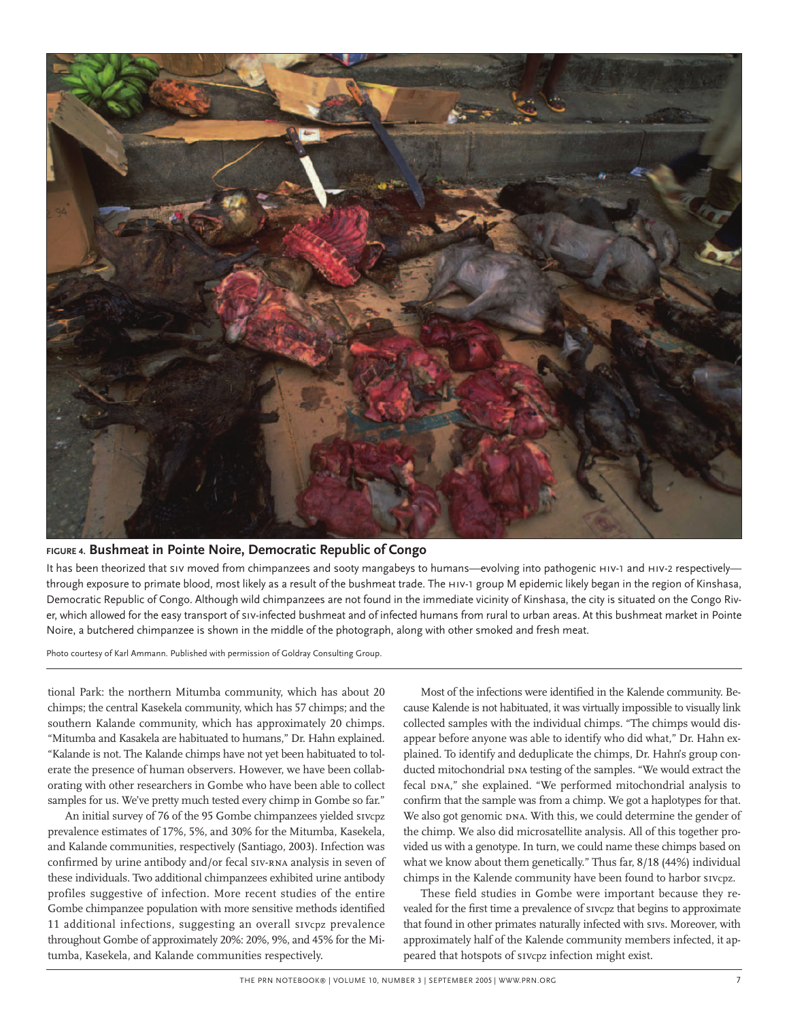

#### **FIGURE 4. Bushmeat in Pointe Noire, Democratic Republic of Congo**

It has been theorized that siv moved from chimpanzees and sooty mangabeys to humans—evolving into pathogenic HIV-1 and HIV-2 respectively through exposure to primate blood, most likely as a result of the bushmeat trade. The hiv-<sup>1</sup> group M epidemic likely began in the region of Kinshasa, Democratic Republic of Congo. Although wild chimpanzees are not found in the immediate vicinity of Kinshasa, the city is situated on the Congo River, which allowed for the easy transport of siv-infected bushmeat and of infected humans from rural to urban areas. At this bushmeat market in Pointe Noire, a butchered chimpanzee is shown in the middle of the photograph, along with other smoked and fresh meat.

Photo courtesy of Karl Ammann. Published with permission of Goldray Consulting Group.

tional Park: the northern Mitumba community, which has about 20 chimps; the central Kasekela community, which has 57 chimps; and the southern Kalande community, which has approximately 20 chimps. "Mitumba and Kasakela are habituated to humans," Dr. Hahn explained. "Kalande is not. The Kalande chimps have not yet been habituated to tolerate the presence of human observers. However, we have been collaborating with other researchers in Gombe who have been able to collect samples for us. We've pretty much tested every chimp in Gombe so far."

An initial survey of 76 of the 95 Gombe chimpanzees yielded sivcpz prevalence estimates of 17%, 5%, and 30% for the Mitumba, Kasekela, and Kalande communities, respectively (Santiago, 2003). Infection was confirmed by urine antibody and/or fecal SIV-RNA analysis in seven of these individuals. Two additional chimpanzees exhibited urine antibody profiles suggestive of infection. More recent studies of the entire Gombe chimpanzee population with more sensitive methods identified 11 additional infections, suggesting an overall sivcpz prevalence throughout Gombe of approximately 20%: 20%, 9%, and 45% for the Mitumba, Kasekela, and Kalande communities respectively.

Most of the infections were identified in the Kalende community. Because Kalende is not habituated, it was virtually impossible to visually link collected samples with the individual chimps. "The chimps would disappear before anyone was able to identify who did what," Dr. Hahn explained. To identify and deduplicate the chimps, Dr. Hahn's group conducted mitochondrial DNA testing of the samples. "We would extract the fecal DNA," she explained. "We performed mitochondrial analysis to confirm that the sample was from a chimp. We got a haplotypes for that. We also got genomic DNA. With this, we could determine the gender of the chimp. We also did microsatellite analysis. All of this together provided us with a genotype. In turn, we could name these chimps based on what we know about them genetically." Thus far, 8/18 (44%) individual chimps in the Kalende community have been found to harbor sivcpz.

These field studies in Gombe were important because they revealed for the first time a prevalence of sivcpz that begins to approximate that found in other primates naturally infected with sivs. Moreover, with approximately half of the Kalende community members infected, it appeared that hotspots of sivcpz infection might exist.